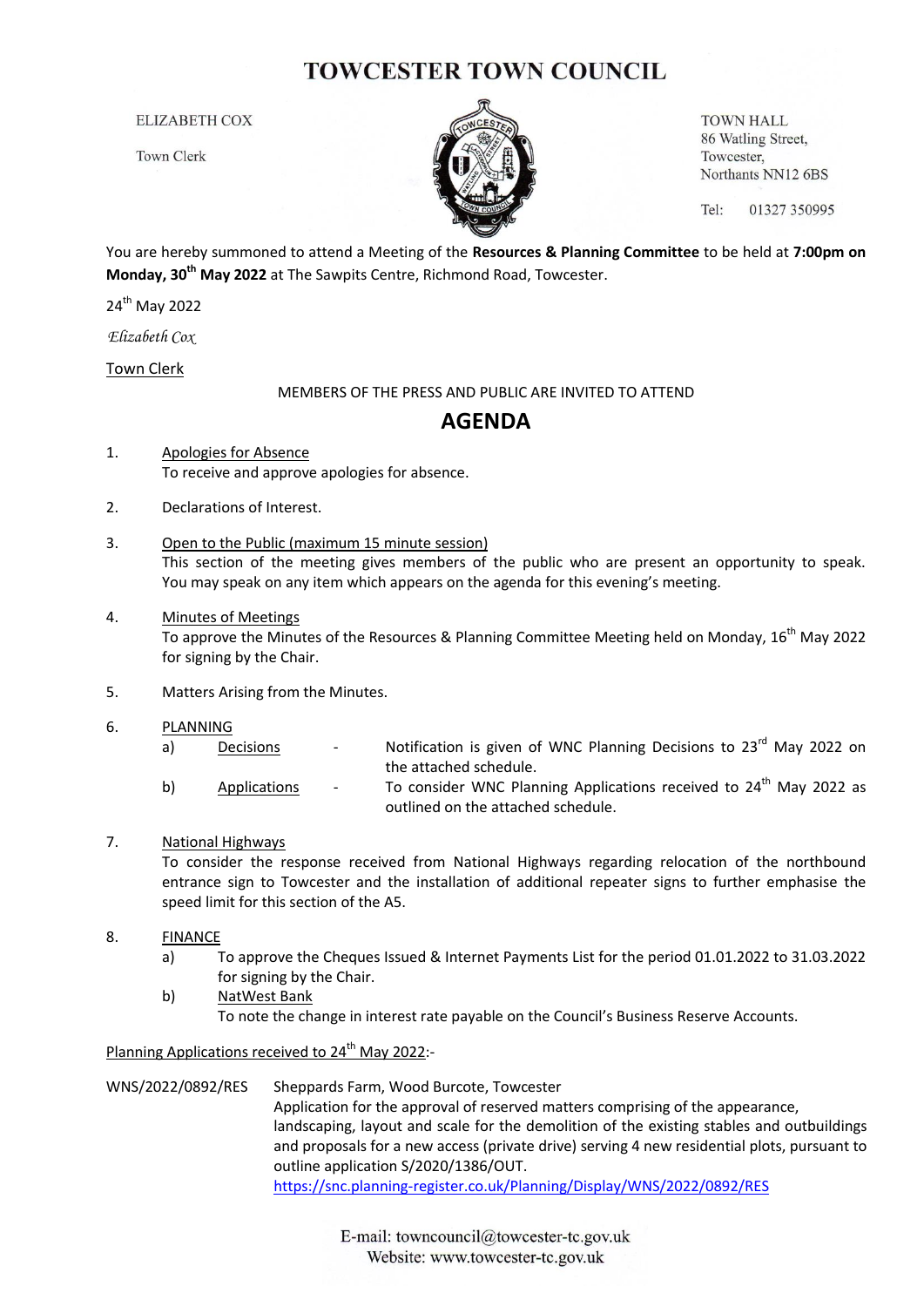## **TOWCESTER TOWN COUNCIL**

**ELIZABETH COX** 

**Town Clerk** 



**TOWN HALL** 86 Watling Street, Towcester, Northants NN12 6BS

Tel: 01327 350995

You are hereby summoned to attend a Meeting of the **Resources & Planning Committee** to be held at **7:00pm on Monday, 30th May 2022** at The Sawpits Centre, Richmond Road, Towcester.

24<sup>th</sup> May 2022

*Elizabeth Cox*

Town Clerk

MEMBERS OF THE PRESS AND PUBLIC ARE INVITED TO ATTEND

## **AGENDA**

- 1. Apologies for Absence To receive and approve apologies for absence.
- 2. Declarations of Interest.
- 3. Open to the Public (maximum 15 minute session) This section of the meeting gives members of the public who are present an opportunity to speak. You may speak on any item which appears on the agenda for this evening's meeting.
- 4. Minutes of Meetings To approve the Minutes of the Resources & Planning Committee Meeting held on Monday, 16<sup>th</sup> May 2022 for signing by the Chair.
- 5. Matters Arising from the Minutes.
- 6. PLANNING
	- a) Decisions Notification is given of WNC Planning Decisions to  $23<sup>rd</sup>$  May 2022 on the attached schedule.
	- b) Applications To consider WNC Planning Applications received to 24<sup>th</sup> May 2022 as outlined on the attached schedule.
- 7. National Highways

To consider the response received from National Highways regarding relocation of the northbound entrance sign to Towcester and the installation of additional repeater signs to further emphasise the speed limit for this section of the A5.

- 8. FINANCE
	- a) To approve the Cheques Issued & Internet Payments List for the period 01.01.2022 to 31.03.2022 for signing by the Chair.
	- b) NatWest Bank

To note the change in interest rate payable on the Council's Business Reserve Accounts.

Planning Applications received to 24<sup>th</sup> May 2022:-

WNS/2022/0892/RES Sheppards Farm, Wood Burcote, Towcester Application for the approval of reserved matters comprising of the appearance, landscaping, layout and scale for the demolition of the existing stables and outbuildings and proposals for a new access (private drive) serving 4 new residential plots, pursuant to outline application S/2020/1386/OUT. <https://snc.planning-register.co.uk/Planning/Display/WNS/2022/0892/RES>

> E-mail: towncouncil@towcester-tc.gov.uk Website: www.towcester-tc.gov.uk